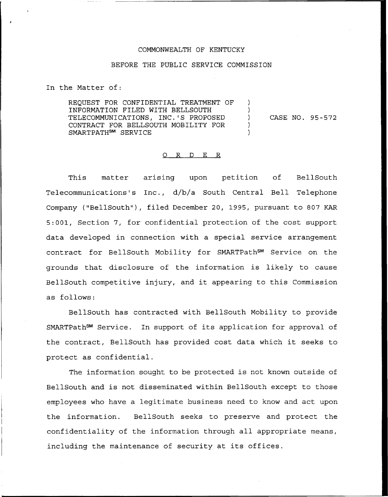## COMMONWEALTH OF KENTUCKY

## BEFORE THE PUBLIC SERVICE COMMISSION

In the Matter of:

REQUEST FOR CONFIDENTIAL TREATMENT OF INFORMATION FILED NITH BELLSOUTH TELECOMMUNICATIONS, INC.'S PROPOSED CONTRACT FOR BELLSOUTH MOBILITY FOR SMARTPATH<sup>SM</sup> SERVICE

) CASE NO. 95-572

) )

> ) )

## 0 R <sup>D</sup> E R

This matter arising upon petition of BellSout Telecommunications's Inc., d/b/a South Central Bell Telephone Company ("BellSouth"), filed December 20, 1995, pursuant to 807 KAR 5:001, Section 7, for confidential protection of the cost support data developed in connection with a special service arrangement contract for BellSouth Mobility for SMARTPath<sup>SM</sup> Service on the grounds that disclosure of the information is likely to cause BellSouth competitive injury, and it appearing to this Commission as follows:

BellSouth has contracted with BellSouth Mobility to provide SMARTPath<sup>sm</sup> Service. In support of its application for approval of the contract, BellSouth has provided cost data which it seeks to protect as confidential.

The information sought to be protected is not known outside of BellSouth and is not disseminated within BellSouth except to those employees who have a legitimate business need to know and act upon the information. BellSouth seeks to preserve and protect the confidentiality of the information through all appropriate means, including the maintenance of security at its offices.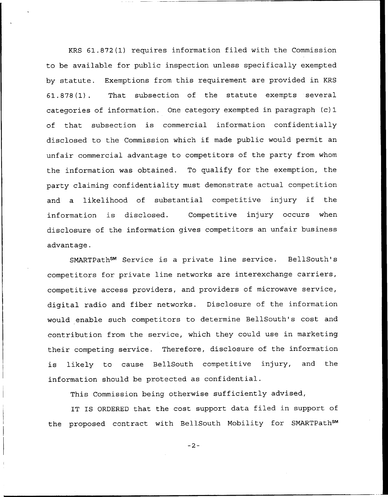KRS 61.872(1) requires information filed with the Commission to be available for public inspection unless specifically exempted by statute. Exemptions from this requirement are provided in KRS 61.878(1). That subsection of the statute exempts several categories of information. One category exempted in paragraph (c)1 of that subsection is commercial information confidentially disclosed to the Commission which if made public would permit an unfair commercial advantage to competitors of the party from whom the information was obtained. To qualify for the exemption, the party claiming confidentiality must demonstrate actual competition and <sup>a</sup> likelihood of substantial competitive injury if the information is disclosed. Competitive injury occurs when. disclosure of the information gives competitors an unfair business advantage.

SMARTPath<sup>SM</sup> Service is a private line service. BellSouth's competitors for private line networks are interexchange carriers, competitive access providers, and providers of microwave service, digital radio and fiber networks. Disclosure of the information would enable such competitors to determine BellSouth's cost and contribution from the service, which they could use in marketing their competing service. Therefore, disclosure of the information is likely to cause BellSouth competitive injury, and the information should be protected as confidential.

This Commission being otherwise sufficiently advised,

IT IS ORDERED that the cost support data filed in support of the proposed contract with BellSouth Mobility for SMARTPathSM

 $-2-$